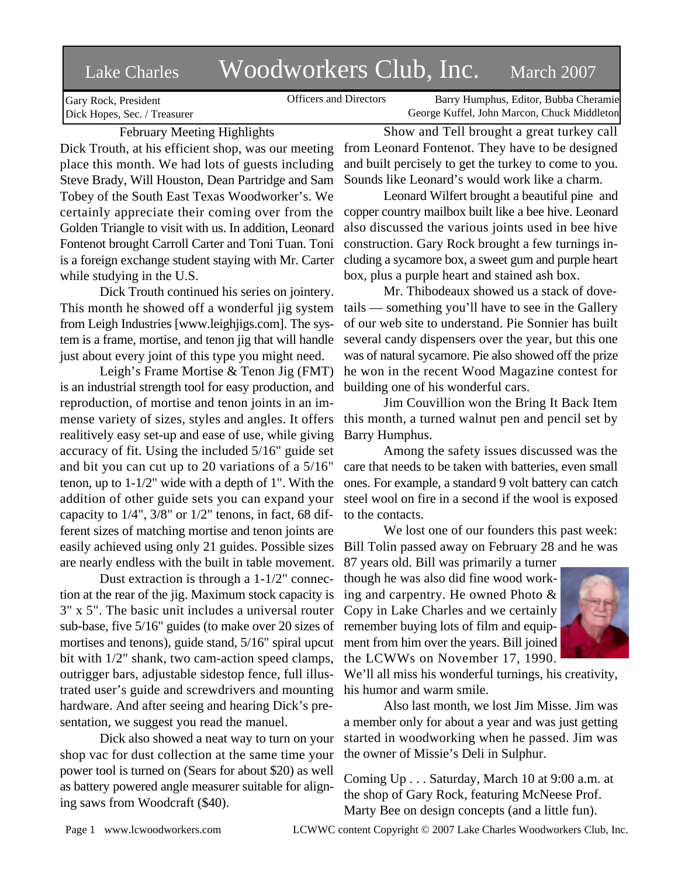# Lake Charles Woodworkers Club, Inc. March 2007

Officers and Directors Barry Humphus, Editor, Bubba Cheramie George Kuffel, John Marcon, Chuck Middleton

Gary Rock, President Dick Hopes, Sec. / Treasurer

## February Meeting Highlights

Dick Trouth, at his efficient shop, was our meeting place this month. We had lots of guests including Steve Brady, Will Houston, Dean Partridge and Sam Tobey of the South East Texas Woodworker's. We certainly appreciate their coming over from the Golden Triangle to visit with us. In addition, Leonard Fontenot brought Carroll Carter and Toni Tuan. Toni is a foreign exchange student staying with Mr. Carter while studying in the U.S.

Dick Trouth continued his series on jointery. This month he showed off a wonderful jig system from Leigh Industries [www.leighjigs.com]. The system is a frame, mortise, and tenon jig that will handle just about every joint of this type you might need.

Leigh's Frame Mortise & Tenon Jig (FMT) is an industrial strength tool for easy production, and reproduction, of mortise and tenon joints in an immense variety of sizes, styles and angles. It offers realitively easy set-up and ease of use, while giving accuracy of fit. Using the included 5/16" guide set and bit you can cut up to 20 variations of a 5/16" tenon, up to 1-1/2" wide with a depth of 1". With the addition of other guide sets you can expand your capacity to 1/4", 3/8" or 1/2" tenons, in fact, 68 different sizes of matching mortise and tenon joints are easily achieved using only 21 guides. Possible sizes are nearly endless with the built in table movement.

Dust extraction is through a 1-1/2" connection at the rear of the jig. Maximum stock capacity is 3" x 5". The basic unit includes a universal router sub-base, five 5/16" guides (to make over 20 sizes of remember buying lots of film and equipmortises and tenons), guide stand, 5/16" spiral upcut bit with 1/2" shank, two cam-action speed clamps, outrigger bars, adjustable sidestop fence, full illustrated user's guide and screwdrivers and mounting hardware. And after seeing and hearing Dick's presentation, we suggest you read the manuel.

Dick also showed a neat way to turn on your shop vac for dust collection at the same time your power tool is turned on (Sears for about \$20) as well as battery powered angle measurer suitable for aligning saws from Woodcraft (\$40).

Show and Tell brought a great turkey call from Leonard Fontenot. They have to be designed and built percisely to get the turkey to come to you. Sounds like Leonard's would work like a charm.

Leonard Wilfert brought a beautiful pine and copper country mailbox built like a bee hive. Leonard also discussed the various joints used in bee hive construction. Gary Rock brought a few turnings including a sycamore box, a sweet gum and purple heart box, plus a purple heart and stained ash box.

Mr. Thibodeaux showed us a stack of dovetails — something you'll have to see in the Gallery of our web site to understand. Pie Sonnier has built several candy dispensers over the year, but this one was of natural sycamore. Pie also showed off the prize he won in the recent Wood Magazine contest for building one of his wonderful cars.

Jim Couvillion won the Bring It Back Item this month, a turned walnut pen and pencil set by Barry Humphus.

Among the safety issues discussed was the care that needs to be taken with batteries, even small ones. For example, a standard 9 volt battery can catch steel wool on fire in a second if the wool is exposed to the contacts.

We lost one of our founders this past week: Bill Tolin passed away on February 28 and he was

87 years old. Bill was primarily a turner though he was also did fine wood working and carpentry. He owned Photo & Copy in Lake Charles and we certainly ment from him over the years. Bill joined the LCWWs on November 17, 1990.



We'll all miss his wonderful turnings, his creativity, his humor and warm smile.

Also last month, we lost Jim Misse. Jim was a member only for about a year and was just getting started in woodworking when he passed. Jim was the owner of Missie's Deli in Sulphur.

Coming Up . . . Saturday, March 10 at 9:00 a.m. at the shop of Gary Rock, featuring McNeese Prof. Marty Bee on design concepts (and a little fun).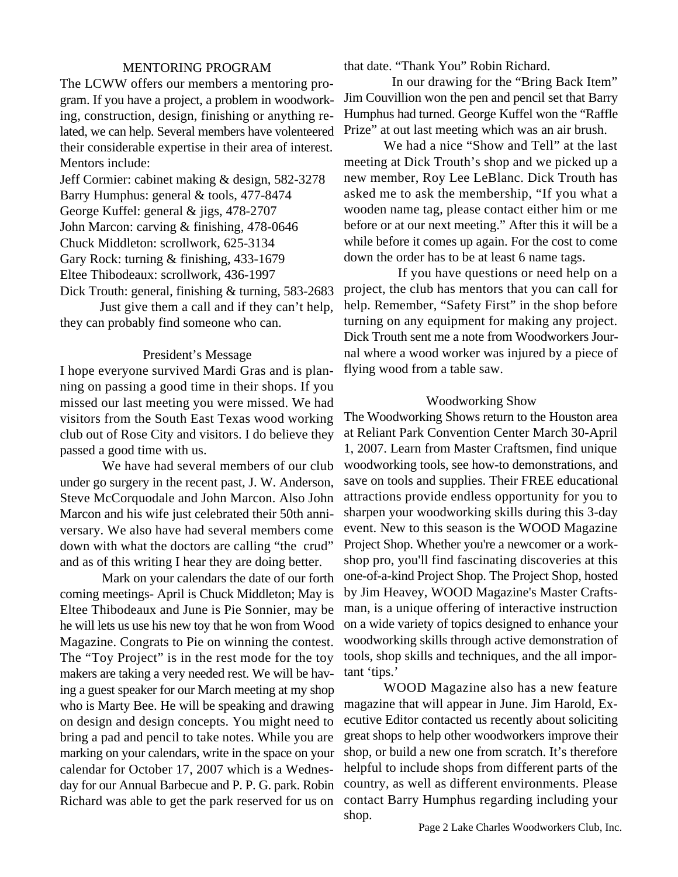### MENTORING PROGRAM

The LCWW offers our members a mentoring program. If you have a project, a problem in woodworking, construction, design, finishing or anything related, we can help. Several members have volenteered their considerable expertise in their area of interest. Mentors include:

Jeff Cormier: cabinet making & design, 582-3278 Barry Humphus: general & tools, 477-8474 George Kuffel: general & jigs, 478-2707 John Marcon: carving & finishing, 478-0646 Chuck Middleton: scrollwork, 625-3134

Gary Rock: turning & finishing, 433-1679

Eltee Thibodeaux: scrollwork, 436-1997

Dick Trouth: general, finishing & turning, 583-2683 Just give them a call and if they can't help, they can probably find someone who can.

#### President's Message

I hope everyone survived Mardi Gras and is planning on passing a good time in their shops. If you missed our last meeting you were missed. We had visitors from the South East Texas wood working club out of Rose City and visitors. I do believe they passed a good time with us.

 We have had several members of our club under go surgery in the recent past, J. W. Anderson, Steve McCorquodale and John Marcon. Also John Marcon and his wife just celebrated their 50th anniversary. We also have had several members come down with what the doctors are calling "the crud" and as of this writing I hear they are doing better.

 Mark on your calendars the date of our forth coming meetings- April is Chuck Middleton; May is Eltee Thibodeaux and June is Pie Sonnier, may be he will lets us use his new toy that he won from Wood Magazine. Congrats to Pie on winning the contest. The "Toy Project" is in the rest mode for the toy makers are taking a very needed rest. We will be having a guest speaker for our March meeting at my shop who is Marty Bee. He will be speaking and drawing on design and design concepts. You might need to bring a pad and pencil to take notes. While you are marking on your calendars, write in the space on your calendar for October 17, 2007 which is a Wednesday for our Annual Barbecue and P. P. G. park. Robin Richard was able to get the park reserved for us on that date. "Thank You" Robin Richard.

 In our drawing for the "Bring Back Item" Jim Couvillion won the pen and pencil set that Barry Humphus had turned. George Kuffel won the "Raffle Prize" at out last meeting which was an air brush.

We had a nice "Show and Tell" at the last meeting at Dick Trouth's shop and we picked up a new member, Roy Lee LeBlanc. Dick Trouth has asked me to ask the membership, "If you what a wooden name tag, please contact either him or me before or at our next meeting." After this it will be a while before it comes up again. For the cost to come down the order has to be at least 6 name tags.

 If you have questions or need help on a project, the club has mentors that you can call for help. Remember, "Safety First" in the shop before turning on any equipment for making any project. Dick Trouth sent me a note from Woodworkers Journal where a wood worker was injured by a piece of flying wood from a table saw.

#### Woodworking Show

The Woodworking Shows return to the Houston area at Reliant Park Convention Center March 30-April 1, 2007. Learn from Master Craftsmen, find unique woodworking tools, see how-to demonstrations, and save on tools and supplies. Their FREE educational attractions provide endless opportunity for you to sharpen your woodworking skills during this 3-day event. New to this season is the WOOD Magazine Project Shop. Whether you're a newcomer or a workshop pro, you'll find fascinating discoveries at this one-of-a-kind Project Shop. The Project Shop, hosted by Jim Heavey, WOOD Magazine's Master Craftsman, is a unique offering of interactive instruction on a wide variety of topics designed to enhance your woodworking skills through active demonstration of tools, shop skills and techniques, and the all important 'tips.'

WOOD Magazine also has a new feature magazine that will appear in June. Jim Harold, Executive Editor contacted us recently about soliciting great shops to help other woodworkers improve their shop, or build a new one from scratch. It's therefore helpful to include shops from different parts of the country, as well as different environments. Please contact Barry Humphus regarding including your shop.